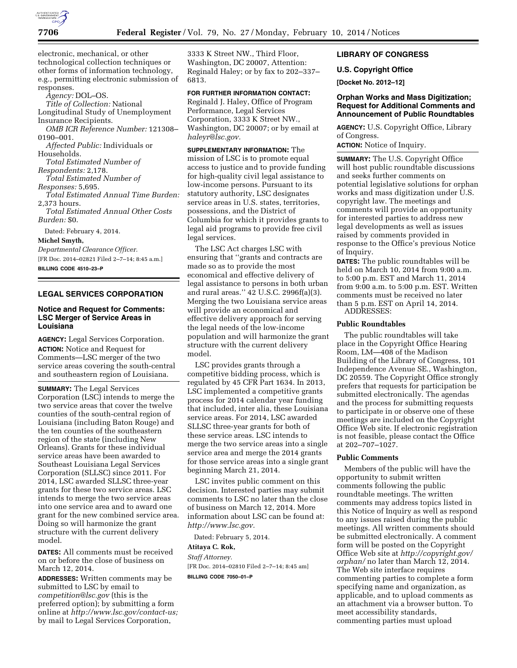

electronic, mechanical, or other technological collection techniques or other forms of information technology, e.g., permitting electronic submission of responses. *Agency:* DOL–OS. *Title of Collection:* National Longitudinal Study of Unemployment Insurance Recipients. *OMB ICR Reference Number:* 121308– 0190–001. *Affected Public:* Individuals or Households. *Total Estimated Number of Respondents:* 2,178. *Total Estimated Number of Responses:* 5,695. *Total Estimated Annual Time Burden:*  2,373 hours. *Total Estimated Annual Other Costs Burden:* \$0. Dated: February 4, 2014. **Michel Smyth,**  *Departmental Clearance Officer.*  [FR Doc. 2014–02821 Filed 2–7–14; 8:45 a.m.] **BILLING CODE 4510–23–P** 

# **LEGAL SERVICES CORPORATION**

### **Notice and Request for Comments: LSC Merger of Service Areas in Louisiana**

**AGENCY:** Legal Services Corporation. **ACTION:** Notice and Request for Comments—LSC merger of the two service areas covering the south-central and southeastern region of Louisiana.

**SUMMARY:** The Legal Services Corporation (LSC) intends to merge the two service areas that cover the twelve counties of the south-central region of Louisiana (including Baton Rouge) and the ten counties of the southeastern region of the state (including New Orleans). Grants for these individual service areas have been awarded to Southeast Louisiana Legal Services Corporation (SLLSC) since 2011. For 2014, LSC awarded SLLSC three-year grants for these two service areas. LSC intends to merge the two service areas into one service area and to award one grant for the new combined service area. Doing so will harmonize the grant structure with the current delivery model.

**DATES:** All comments must be received on or before the close of business on March 12, 2014.

**ADDRESSES:** Written comments may be submitted to LSC by email to *[competition@lsc.gov](mailto:competition@lsc.gov)* (this is the preferred option); by submitting a form online at *[http://www.lsc.gov/contact-us;](http://www.lsc.gov/contact-us)*  by mail to Legal Services Corporation,

3333 K Street NW., Third Floor, Washington, DC 20007, Attention: Reginald Haley; or by fax to 202–337– 6813.

### **FOR FURTHER INFORMATION CONTACT:**

Reginald J. Haley, Office of Program Performance, Legal Services Corporation, 3333 K Street NW., Washington, DC 20007; or by email at *[haleyr@lsc.gov.](mailto:haleyr@lsc.gov)* 

**SUPPLEMENTARY INFORMATION:** The mission of LSC is to promote equal access to justice and to provide funding for high-quality civil legal assistance to low-income persons. Pursuant to its statutory authority, LSC designates service areas in U.S. states, territories, possessions, and the District of Columbia for which it provides grants to legal aid programs to provide free civil legal services.

The LSC Act charges LSC with ensuring that ''grants and contracts are made so as to provide the most economical and effective delivery of legal assistance to persons in both urban and rural areas.'' 42 U.S.C. 2996f(a)(3). Merging the two Louisiana service areas will provide an economical and effective delivery approach for serving the legal needs of the low-income population and will harmonize the grant structure with the current delivery model.

LSC provides grants through a competitive bidding process, which is regulated by 45 CFR Part 1634. In 2013, LSC implemented a competitive grants process for 2014 calendar year funding that included, inter alia, these Louisiana service areas. For 2014, LSC awarded SLLSC three-year grants for both of these service areas. LSC intends to merge the two service areas into a single service area and merge the 2014 grants for those service areas into a single grant beginning March 21, 2014.

LSC invites public comment on this decision. Interested parties may submit comments to LSC no later than the close of business on March 12, 2014. More information about LSC can be found at: *[http://www.lsc.gov.](http://www.lsc.gov)* 

Dated: February 5, 2014.

**Atitaya C. Rok,**  *Staff Attorney.*  [FR Doc. 2014–02810 Filed 2–7–14; 8:45 am] **BILLING CODE 7050–01–P** 

# **LIBRARY OF CONGRESS**

### **U.S. Copyright Office**

**[Docket No. 2012–12]** 

# **Orphan Works and Mass Digitization; Request for Additional Comments and Announcement of Public Roundtables**

**AGENCY:** U.S. Copyright Office, Library of Congress.

**ACTION:** Notice of Inquiry.

**SUMMARY:** The U.S. Copyright Office will host public roundtable discussions and seeks further comments on potential legislative solutions for orphan works and mass digitization under U.S. copyright law. The meetings and comments will provide an opportunity for interested parties to address new legal developments as well as issues raised by comments provided in response to the Office's previous Notice of Inquiry.

**DATES:** The public roundtables will be held on March 10, 2014 from 9:00 a.m. to 5:00 p.m. EST and March 11, 2014 from 9:00 a.m. to 5:00 p.m. EST. Written comments must be received no later than 5 p.m. EST on April 14, 2014. ADDRESSES:

#### **Public Roundtables**

The public roundtables will take place in the Copyright Office Hearing Room, LM—408 of the Madison Building of the Library of Congress, 101 Independence Avenue SE., Washington, DC 20559. The Copyright Office strongly prefers that requests for participation be submitted electronically. The agendas and the process for submitting requests to participate in or observe one of these meetings are included on the Copyright Office Web site. If electronic registration is not feasible, please contact the Office at 202–707–1027.

#### **Public Comments**

Members of the public will have the opportunity to submit written comments following the public roundtable meetings. The written comments may address topics listed in this Notice of Inquiry as well as respond to any issues raised during the public meetings. All written comments should be submitted electronically. A comment form will be posted on the Copyright Office Web site at *[http://copyright.gov/](http://copyright.gov/orphan/) [orphan/](http://copyright.gov/orphan/)* no later than March 12, 2014. The Web site interface requires commenting parties to complete a form specifying name and organization, as applicable, and to upload comments as an attachment via a browser button. To meet accessibility standards, commenting parties must upload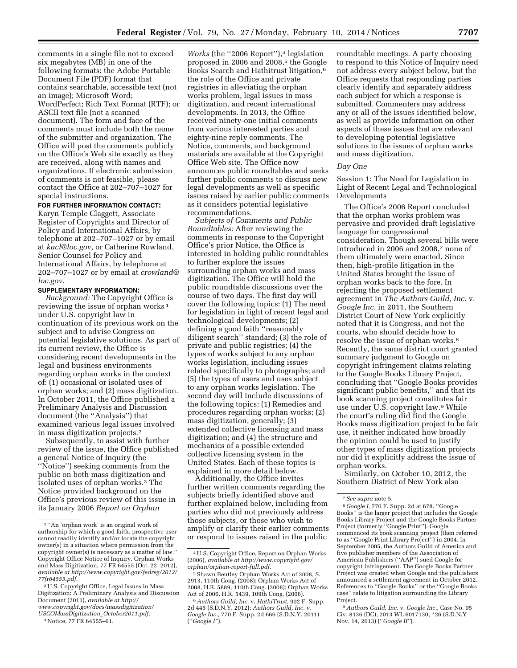comments in a single file not to exceed six megabytes (MB) in one of the following formats: the Adobe Portable Document File (PDF) format that contains searchable, accessible text (not an image); Microsoft Word; WordPerfect; Rich Text Format (RTF); or ASCII text file (not a scanned document). The form and face of the comments must include both the name of the submitter and organization. The Office will post the comments publicly on the Office's Web site exactly as they are received, along with names and organizations. If electronic submission of comments is not feasible, please contact the Office at 202–707–1027 for special instructions.

### **FOR FURTHER INFORMATION CONTACT:**

Karyn Temple Claggett, Associate Register of Copyrights and Director of Policy and International Affairs, by telephone at 202–707–1027 or by email at *[kacl@loc.gov,](mailto:kacl@loc.gov)* or Catherine Rowland, Senior Counsel for Policy and International Affairs, by telephone at 202–707–1027 or by email at *[crowland@](mailto:crowland@loc.gov) [loc.gov.](mailto:crowland@loc.gov)* 

# **SUPPLEMENTARY INFORMATION:**

*Background:* The Copyright Office is reviewing the issue of orphan works 1 under U.S. copyright law in continuation of its previous work on the subject and to advise Congress on potential legislative solutions. As part of its current review, the Office is considering recent developments in the legal and business environments regarding orphan works in the context of: (1) occasional or isolated uses of orphan works; and (2) mass digitization. In October 2011, the Office published a Preliminary Analysis and Discussion document (the ''Analysis'') that examined various legal issues involved in mass digitization projects.2

Subsequently, to assist with further review of the issue, the Office published a general Notice of Inquiry (the ''Notice'') seeking comments from the public on both mass digitization and isolated uses of orphan works.3 The Notice provided background on the Office's previous review of this issue in its January 2006 *Report on Orphan* 

2U.S. Copyright Office, Legal Issues in Mass Digitization: A Preliminary Analysis and Discussion Document (2011), *available at [http://](http://www.copyright.gov/docs/massdigitization/USCOMassDigitization_October2011.pdf) [www.copyright.gov/docs/massdigitization/](http://www.copyright.gov/docs/massdigitization/USCOMassDigitization_October2011.pdf) [USCOMassDigitization](http://www.copyright.gov/docs/massdigitization/USCOMassDigitization_October2011.pdf)*\_*October2011.pdf.* 

*Works* (the "2006 Report"),<sup>4</sup> legislation proposed in 2006 and 2008,<sup>5</sup> the Google Books Search and Hathitrust litigation,6 the role of the Office and private registries in alleviating the orphan works problem, legal issues in mass digitization, and recent international developments. In 2013, the Office received ninety-one initial comments from various interested parties and eighty-nine reply comments. The Notice, comments, and background materials are available at the Copyright Office Web site. The Office now announces public roundtables and seeks further public comments to discuss new legal developments as well as specific issues raised by earlier public comments as it considers potential legislative recommendations.

*Subjects of Comments and Public Roundtables:* After reviewing the comments in response to the Copyright Office's prior Notice, the Office is interested in holding public roundtables to further explore the issues surrounding orphan works and mass digitization. The Office will hold the public roundtable discussions over the course of two days. The first day will cover the following topics: (1) The need for legislation in light of recent legal and technological developments; (2) defining a good faith ''reasonably diligent search'' standard; (3) the role of private and public registries; (4) the types of works subject to any orphan works legislation, including issues related specifically to photographs; and (5) the types of users and uses subject to any orphan works legislation. The second day will include discussions of the following topics: (1) Remedies and procedures regarding orphan works; (2) mass digitization, generally; (3) extended collective licensing and mass digitization; and (4) the structure and mechanics of a possible extended collective licensing system in the United States. Each of these topics is explained in more detail below.

Additionally, the Office invites further written comments regarding the subjects briefly identified above and further explained below, including from parties who did not previously address those subjects, or those who wish to amplify or clarify their earlier comments or respond to issues raised in the public

roundtable meetings. A party choosing to respond to this Notice of Inquiry need not address every subject below, but the Office requests that responding parties clearly identify and separately address each subject for which a response is submitted. Commenters may address any or all of the issues identified below, as well as provide information on other aspects of these issues that are relevant to developing potential legislative solutions to the issues of orphan works and mass digitization.

#### *Day One*

Session 1: The Need for Legislation in Light of Recent Legal and Technological Developments

The Office's 2006 Report concluded that the orphan works problem was pervasive and provided draft legislative language for congressional consideration. Though several bills were introduced in 2006 and 2008,7 none of them ultimately were enacted. Since then, high-profile litigation in the United States brought the issue of orphan works back to the fore. In rejecting the proposed settlement agreement in *The Authors Guild, Inc.* v. *Google Inc.* in 2011, the Southern District Court of New York explicitly noted that it is Congress, and not the courts, who should decide how to resolve the issue of orphan works.8 Recently, the same district court granted summary judgment to Google on copyright infringement claims relating to the Google Books Library Project, concluding that ''Google Books provides significant public benefits,'' and that its book scanning project constitutes fair use under U.S. copyright law.9 While the court's ruling did find the Google Books mass digitization project to be fair use, it neither indicated how broadly the opinion could be used to justify other types of mass digitization projects nor did it explicitly address the issue of orphan works.

Similarly, on October 10, 2012, the Southern District of New York also

9*Authors Guild, Inc.* v. *Google Inc.,* Case No. 05 Civ. 8136 (DC), 2013 WL 6017130, \*26 (S.D.N.Y Nov. 14, 2013) (''*Google II''*).

<sup>1</sup> ''An 'orphan work' is an original work of authorship for which a good faith, prospective user cannot readily identify and/or locate the copyright owner(s) in a situation where permission from the copyright owner(s) is necessary as a matter of law.'' Copyright Office Notice of Inquiry, Orphan Works and Mass Digitization, 77 FR 64555 (Oct. 22, 2012), *available at [http://www.copyright.gov/fedreg/2012/](http://www.copyright.gov/fedreg/2012/77fr64555.pdf) [77fr64555.pdf.](http://www.copyright.gov/fedreg/2012/77fr64555.pdf)* 

<sup>3</sup>Notice, 77 FR 64555–61.

<sup>4</sup>U.S. Copyright Office, Report on Orphan Works (2006), *available at [http://www.copyright.gov/](http://www.copyright.gov/orphan/orphan-report-full.pdf) [orphan/orphan-report-full.pdf.](http://www.copyright.gov/orphan/orphan-report-full.pdf)* 

<sup>&</sup>lt;sup>5</sup> Shawn Bentley Orphan Works Act of 2008, S. 2913, 110th Cong. (2008); Orphan Works Act of 2008, H.R. 5889, 110th Cong. (2008); Orphan Works

<sup>&</sup>lt;sup>6</sup> Authors Guild, Inc. v. HathiTrust, 902 F. Supp. 2d 445 (S.D.N.Y. 2012); *Authors Guild, Inc. v. Google Inc.,* 770 F. Supp. 2d 666 (S.D.N.Y. 2011) (''*Google I''*).

<sup>7</sup>*See supra* note 5.

<sup>8</sup> *Google I,* 770 F. Supp. 2d at 678. ''Google Books'' is the larger project that includes the Google Books Library Project and the Google Books Partner Project (formerly ''Google Print''). Google commenced its book scanning project (then referred to as ''Google Print Library Project'') in 2004. In September 2005, the Authors Guild of America and five publisher members of the Association of American Publishers (''AAP'') sued Google for copyright infringement. The Google Books Partner Project was created when Google and the publishers announced a settlement agreement in October 2012. References to ''Google Books'' or the ''Google Books case'' relate to litigation surrounding the Library Project.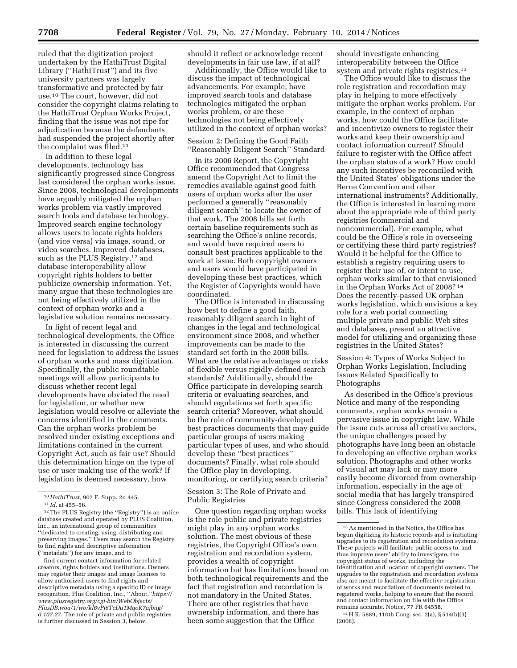ruled that the digitization project undertaken by the HathiTrust Digital Library (''HathiTrust'') and its five university partners was largely transformative and protected by fair use.10 The court, however, did not consider the copyright claims relating to the HathiTrust Orphan Works Project, finding that the issue was not ripe for adjudication because the defendants had suspended the project shortly after the complaint was filed.11

In addition to these legal developments, technology has significantly progressed since Congress last considered the orphan works issue. Since 2008, technological developments have arguably mitigated the orphan works problem via vastly improved search tools and database technology. Improved search engine technology allows users to locate rights holders (and vice versa) via image, sound, or video searches. Improved databases, such as the PLUS Registry,<sup>12</sup> and database interoperability allow copyright rights holders to better publicize ownership information. Yet, many argue that these technologies are not being effectively utilized in the context of orphan works and a legislative solution remains necessary.

In light of recent legal and technological developments, the Office is interested in discussing the current need for legislation to address the issues of orphan works and mass digitization. Specifically, the public roundtable meetings will allow participants to discuss whether recent legal developments have obviated the need for legislation, or whether new legislation would resolve or alleviate the concerns identified in the comments. Can the orphan works problem be resolved under existing exceptions and limitations contained in the current Copyright Act, such as fair use? Should this determination hinge on the type of use or user making use of the work? If legislation is deemed necessary, how

find current contact information for related creators, rights holders and institutions. Owners may register their images and image licenses to allow authorized users to find rights and descriptive metadata using a specific ID or image recognition. Plus Coalition, Inc., ''About,''*[https://](https://www.plusregistry.org/cgi-bin/WebObjects/PlusDB.woa/1/wo/kl6vPj6TeDu1MqoK7ajbug/0.107.27) [www.plusregistry.org/cgi-bin/WebObjects/](https://www.plusregistry.org/cgi-bin/WebObjects/PlusDB.woa/1/wo/kl6vPj6TeDu1MqoK7ajbug/0.107.27) [PlusDB.woa/1/wo/kl6vPj6TeDu1MqoK7ajbug/](https://www.plusregistry.org/cgi-bin/WebObjects/PlusDB.woa/1/wo/kl6vPj6TeDu1MqoK7ajbug/0.107.27) [0.107.27.](https://www.plusregistry.org/cgi-bin/WebObjects/PlusDB.woa/1/wo/kl6vPj6TeDu1MqoK7ajbug/0.107.27)* The role of private and public registries is further discussed in Session 3, below.

should it reflect or acknowledge recent developments in fair use law, if at all?

Additionally, the Office would like to discuss the impact of technological advancements. For example, have improved search tools and database technologies mitigated the orphan works problem, or are these technologies not being effectively utilized in the context of orphan works?

Session 2: Defining the Good Faith ''Reasonably Diligent Search'' Standard

In its 2006 Report, the Copyright Office recommended that Congress amend the Copyright Act to limit the remedies available against good faith users of orphan works after the user performed a generally ''reasonably diligent search'' to locate the owner of that work. The 2008 bills set forth certain baseline requirements such as searching the Office's online records, and would have required users to consult best practices applicable to the work at issue. Both copyright owners and users would have participated in developing these best practices, which the Register of Copyrights would have coordinated.

The Office is interested in discussing how best to define a good faith, reasonably diligent search in light of changes in the legal and technological environment since 2008, and whether improvements can be made to the standard set forth in the 2008 bills. What are the relative advantages or risks of flexible versus rigidly-defined search standards? Additionally, should the Office participate in developing search criteria or evaluating searches, and should regulations set forth specific search criteria? Moreover, what should be the role of community-developed best practices documents that may guide particular groups of users making particular types of uses, and who should develop these ''best practices'' documents? Finally, what role should the Office play in developing, monitoring, or certifying search criteria?

Session 3: The Role of Private and Public Registries

One question regarding orphan works is the role public and private registries might play in any orphan works solution. The most obvious of these registries, the Copyright Office's own registration and recordation system, provides a wealth of copyright information but has limitations based on both technological requirements and the fact that registration and recordation is not mandatory in the United States. There are other registries that have ownership information, and there has been some suggestion that the Office

should investigate enhancing interoperability between the Office system and private rights registries.<sup>13</sup>

The Office would like to discuss the role registration and recordation may play in helping to more effectively mitigate the orphan works problem. For example, in the context of orphan works, how could the Office facilitate and incentivize owners to register their works and keep their ownership and contact information current? Should failure to register with the Office affect the orphan status of a work? How could any such incentives be reconciled with the United States' obligations under the Berne Convention and other international instruments? Additionally, the Office is interested in learning more about the appropriate role of third party registries (commercial and noncommercial). For example, what could be the Office's role in overseeing or certifying these third party registries? Would it be helpful for the Office to establish a registry requiring users to register their use of, or intent to use, orphan works similar to that envisioned in the Orphan Works Act of 2008? 14 Does the recently-passed UK orphan works legislation, which envisions a key role for a web portal connecting multiple private and public Web sites and databases, present an attractive model for utilizing and organizing these registries in the United States?

Session 4: Types of Works Subject to Orphan Works Legislation, Including Issues Related Specifically to Photographs

As described in the Office's previous Notice and many of the responding comments, orphan works remain a pervasive issue in copyright law. While the issue cuts across all creative sectors, the unique challenges posed by photographs have long been an obstacle to developing an effective orphan works solution. Photographs and other works of visual art may lack or may more easily become divorced from ownership information, especially in the age of social media that has largely transpired since Congress considered the 2008 bills. This lack of identifying

<sup>10</sup>*HathiTrust,* 902 F. Supp. 2d 445.

<sup>11</sup> *Id.* at 455–56.

<sup>12</sup>The PLUS Registry (the ''Registry'') is an online database created and operated by PLUS Coalition, Inc., an international group of communities ''dedicated to creating, using, distributing and preserving images.'' Users may search the Registry to find rights and descriptive information (''metadata'') for any image, and to

<sup>13</sup>As mentioned in the Notice, the Office has begun digitizing its historic records and is initiating upgrades to its registration and recordation systems. These projects will facilitate public access to, and thus improve users' ability to investigate, the copyright status of works, including the identification and location of copyright owners. The upgrades to the registration and recordation systems also are meant to facilitate the effective registration of works and recordation of documents related to registered works, helping to ensure that the record and contact information on file with the Office remains accurate. Notice, 77 FR 64558.

<sup>14</sup>H.R. 5889, 110th Cong. sec. 2(a), § 514(b)(3) (2008).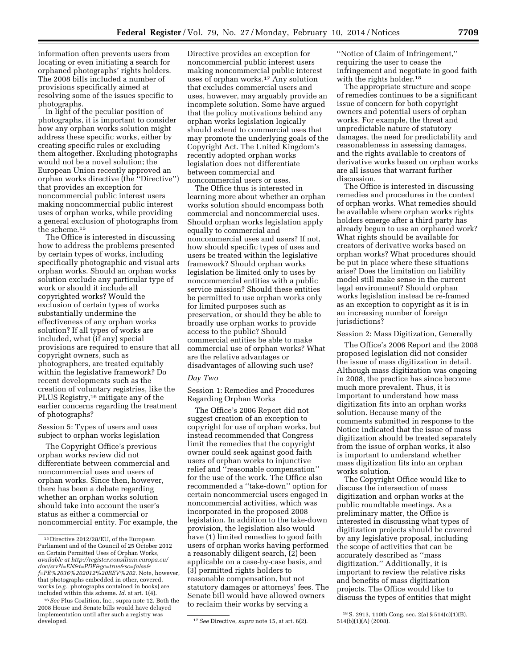information often prevents users from locating or even initiating a search for orphaned photographs' rights holders. The 2008 bills included a number of provisions specifically aimed at resolving some of the issues specific to photographs.

In light of the peculiar position of photographs, it is important to consider how any orphan works solution might address these specific works, either by creating specific rules or excluding them altogether. Excluding photographs would not be a novel solution; the European Union recently approved an orphan works directive (the ''Directive'') that provides an exception for noncommercial public interest users making noncommercial public interest uses of orphan works, while providing a general exclusion of photographs from the scheme.15

The Office is interested in discussing how to address the problems presented by certain types of works, including specifically photographic and visual arts orphan works. Should an orphan works solution exclude any particular type of work or should it include all copyrighted works? Would the exclusion of certain types of works substantially undermine the effectiveness of any orphan works solution? If all types of works are included, what (if any) special provisions are required to ensure that all copyright owners, such as photographers, are treated equitably within the legislative framework? Do recent developments such as the creation of voluntary registries, like the PLUS Registry,16 mitigate any of the earlier concerns regarding the treatment of photographs?

Session 5: Types of users and uses subject to orphan works legislation

The Copyright Office's previous orphan works review did not differentiate between commercial and noncommercial uses and users of orphan works. Since then, however, there has been a debate regarding whether an orphan works solution should take into account the user's status as either a commercial or noncommercial entity. For example, the

Directive provides an exception for noncommercial public interest users making noncommercial public interest uses of orphan works.<sup>17</sup> Any solution that excludes commercial users and uses, however, may arguably provide an incomplete solution. Some have argued that the policy motivations behind any orphan works legislation logically should extend to commercial uses that may promote the underlying goals of the Copyright Act. The United Kingdom's recently adopted orphan works legislation does not differentiate between commercial and noncommercial users or uses.

The Office thus is interested in learning more about whether an orphan works solution should encompass both commercial and noncommercial uses. Should orphan works legislation apply equally to commercial and noncommercial uses and users? If not, how should specific types of uses and users be treated within the legislative framework? Should orphan works legislation be limited only to uses by noncommercial entities with a public service mission? Should these entities be permitted to use orphan works only for limited purposes such as preservation, or should they be able to broadly use orphan works to provide access to the public? Should commercial entities be able to make commercial use of orphan works? What are the relative advantages or disadvantages of allowing such use?

#### *Day Two*

Session 1: Remedies and Procedures Regarding Orphan Works

The Office's 2006 Report did not suggest creation of an exception to copyright for use of orphan works, but instead recommended that Congress limit the remedies that the copyright owner could seek against good faith users of orphan works to injunctive relief and ''reasonable compensation'' for the use of the work. The Office also recommended a ''take-down'' option for certain noncommercial users engaged in noncommercial activities, which was incorporated in the proposed 2008 legislation. In addition to the take-down provision, the legislation also would have (1) limited remedies to good faith users of orphan works having performed a reasonably diligent search, (2) been applicable on a case-by-case basis, and (3) permitted rights holders to reasonable compensation, but not statutory damages or attorneys' fees. The Senate bill would have allowed owners to reclaim their works by serving a

''Notice of Claim of Infringement,'' requiring the user to cease the infringement and negotiate in good faith with the rights holder.<sup>18</sup>

The appropriate structure and scope of remedies continues to be a significant issue of concern for both copyright owners and potential users of orphan works. For example, the threat and unpredictable nature of statutory damages, the need for predictability and reasonableness in assessing damages, and the rights available to creators of derivative works based on orphan works are all issues that warrant further discussion.

The Office is interested in discussing remedies and procedures in the context of orphan works. What remedies should be available where orphan works rights holders emerge after a third party has already begun to use an orphaned work? What rights should be available for creators of derivative works based on orphan works? What procedures should be put in place where these situations arise? Does the limitation on liability model still make sense in the current legal environment? Should orphan works legislation instead be re-framed as an exception to copyright as it is in an increasing number of foreign jurisdictions?

### Session 2: Mass Digitization, Generally

The Office's 2006 Report and the 2008 proposed legislation did not consider the issue of mass digitization in detail. Although mass digitization was ongoing in 2008, the practice has since become much more prevalent. Thus, it is important to understand how mass digitization fits into an orphan works solution. Because many of the comments submitted in response to the Notice indicated that the issue of mass digitization should be treated separately from the issue of orphan works, it also is important to understand whether mass digitization fits into an orphan works solution.

The Copyright Office would like to discuss the intersection of mass digitization and orphan works at the public roundtable meetings. As a preliminary matter, the Office is interested in discussing what types of digitization projects should be covered by any legislative proposal, including the scope of activities that can be accurately described as ''mass digitization.'' Additionally, it is important to review the relative risks and benefits of mass digitization projects. The Office would like to discuss the types of entities that might

<sup>15</sup> Directive 2012/28/EU, of the European Parliament and of the Council of 25 October 2012 on Certain Permitted Uses of Orphan Works, *available at [http://register.consilium.europa.eu/](http://register.consilium.europa.eu/doc/srv?l=EN&t=PDF&gc=true&sc=false&f=PE%2036%202012%20REV%202) [doc/srv?l=EN&t=PDF&gc=true&sc=false&](http://register.consilium.europa.eu/doc/srv?l=EN&t=PDF&gc=true&sc=false&f=PE%2036%202012%20REV%202) [f=PE%2036%202012%20REV%202.](http://register.consilium.europa.eu/doc/srv?l=EN&t=PDF&gc=true&sc=false&f=PE%2036%202012%20REV%202)* Note, however, that photographs embedded in other, covered, works (*e.g.,* photographs contained in books) are included within this scheme. *Id.* at art. 1(4).

<sup>16</sup>*See* Plus Coalition, Inc., supra note 12. Both the 2008 House and Senate bills would have delayed implementation until after such a registry was

<sup>&</sup>lt;sup>17</sup> See Directive, *supra* note 15, at art. 6(2).

<sup>18</sup>S. 2913, 110th Cong. sec. 2(a) § 514(c)(1)(B), 514(b)(1)(A) (2008).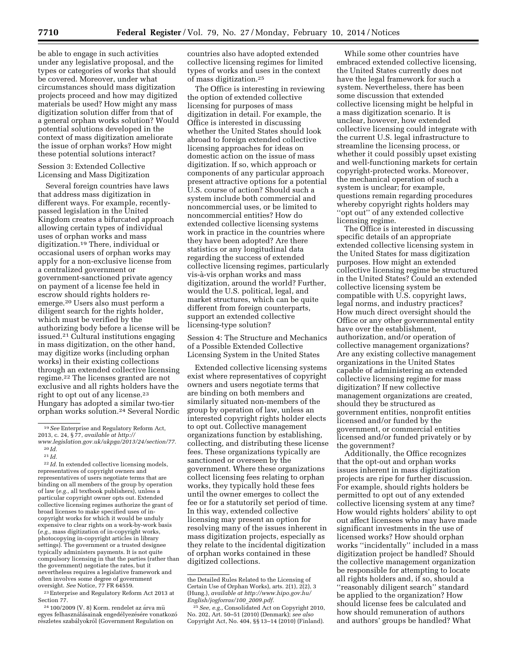be able to engage in such activities under any legislative proposal, and the types or categories of works that should be covered. Moreover, under what circumstances should mass digitization projects proceed and how may digitized materials be used? How might any mass digitization solution differ from that of a general orphan works solution? Would potential solutions developed in the context of mass digitization ameliorate the issue of orphan works? How might these potential solutions interact?

Session 3: Extended Collective Licensing and Mass Digitization

Several foreign countries have laws that address mass digitization in different ways. For example, recentlypassed legislation in the United Kingdom creates a bifurcated approach allowing certain types of individual uses of orphan works and mass digitization.19 There, individual or occasional users of orphan works may apply for a non-exclusive license from a centralized government or government-sanctioned private agency on payment of a license fee held in escrow should rights holders reemerge.20 Users also must perform a diligent search for the rights holder, which must be verified by the authorizing body before a license will be issued.21 Cultural institutions engaging in mass digitization, on the other hand, may digitize works (including orphan works) in their existing collections through an extended collective licensing regime.22 The licenses granted are not exclusive and all rights holders have the right to opt out of any license.23 Hungary has adopted a similar two-tier orphan works solution.24 Several Nordic

22 *Id.* In extended collective licensing models, representatives of copyright owners and representatives of users negotiate terms that are binding on all members of the group by operation of law (*e.g.,* all textbook publishers), unless a particular copyright owner opts out. Extended collective licensing regimes authorize the grant of broad licenses to make specified uses of incopyright works for which it would be unduly expensive to clear rights on a work-by-work basis (*e.g.,* mass digitization of in-copyright works, photocopying in-copyright articles in library settings). The government or a trusted designee typically administers payments. It is not quite compulsory licensing in that the parties (rather than the government) negotiate the rates, but it nevertheless requires a legislative framework and often involves some degree of government oversight. *See* Notice, 77 FR 64559.

23Enterprise and Regulatory Reform Act 2013 at Section 77.

 $24100/2009$  (V. 8) Korm. rendelet az árva mü egyes felhasználásainak engedélyezésére vonatkozó részletes szabályokról (Government Regulation on

countries also have adopted extended collective licensing regimes for limited types of works and uses in the context of mass digitization.25

The Office is interesting in reviewing the option of extended collective licensing for purposes of mass digitization in detail. For example, the Office is interested in discussing whether the United States should look abroad to foreign extended collective licensing approaches for ideas on domestic action on the issue of mass digitization. If so, which approach or components of any particular approach present attractive options for a potential U.S. course of action? Should such a system include both commercial and noncommercial uses, or be limited to noncommercial entities? How do extended collective licensing systems work in practice in the countries where they have been adopted? Are there statistics or any longitudinal data regarding the success of extended collective licensing regimes, particularly vis-a`-vis orphan works and mass digitization, around the world? Further, would the U.S. political, legal, and market structures, which can be quite different from foreign counterparts, support an extended collective licensing-type solution?

Session 4: The Structure and Mechanics of a Possible Extended Collective Licensing System in the United States

Extended collective licensing systems exist where representatives of copyright owners and users negotiate terms that are binding on both members and similarly situated non-members of the group by operation of law, unless an interested copyright rights holder elects to opt out. Collective management organizations function by establishing, collecting, and distributing these license fees. These organizations typically are sanctioned or overseen by the government. Where these organizations collect licensing fees relating to orphan works, they typically hold these fees until the owner emerges to collect the fee or for a statutorily set period of time. In this way, extended collective licensing may present an option for resolving many of the issues inherent in mass digitization projects, especially as they relate to the incidental digitization of orphan works contained in these digitized collections.

While some other countries have embraced extended collective licensing, the United States currently does not have the legal framework for such a system. Nevertheless, there has been some discussion that extended collective licensing might be helpful in a mass digitization scenario. It is unclear, however, how extended collective licensing could integrate with the current U.S. legal infrastructure to streamline the licensing process, or whether it could possibly upset existing and well-functioning markets for certain copyright-protected works. Moreover, the mechanical operation of such a system is unclear; for example, questions remain regarding procedures whereby copyright rights holders may ''opt out'' of any extended collective licensing regime.

The Office is interested in discussing specific details of an appropriate extended collective licensing system in the United States for mass digitization purposes. How might an extended collective licensing regime be structured in the United States? Could an extended collective licensing system be compatible with U.S. copyright laws, legal norms, and industry practices? How much direct oversight should the Office or any other governmental entity have over the establishment, authorization, and/or operation of collective management organizations? Are any existing collective management organizations in the United States capable of administering an extended collective licensing regime for mass digitization? If new collective management organizations are created, should they be structured as government entities, nonprofit entities licensed and/or funded by the government, or commercial entities licensed and/or funded privately or by the government?

Additionally, the Office recognizes that the opt-out and orphan works issues inherent in mass digitization projects are ripe for further discussion. For example, should rights holders be permitted to opt out of any extended collective licensing system at any time? How would rights holders' ability to opt out affect licensees who may have made significant investments in the use of licensed works? How should orphan works ''incidentally'' included in a mass digitization project be handled? Should the collective management organization be responsible for attempting to locate all rights holders and, if so, should a ''reasonably diligent search'' standard be applied to the organization? How should license fees be calculated and how should remuneration of authors and authors' groups be handled? What

<sup>19</sup>*See* Enterprise and Regulatory Reform Act, 2013, c. 24, § 77, *available at [http://](http://www.legislation.gov.uk/ukpga/2013/24/section/77)*

*[www.legislation.gov.uk/ukpga/2013/24/section/77.](http://www.legislation.gov.uk/ukpga/2013/24/section/77)*  20 *Id.* 

<sup>21</sup> *Id.* 

the Detailed Rules Related to the Licensing of Certain Use of Orphan Works), arts. 2(1), 2(2), 3 (Hung.), *available at [http://www.hipo.gov.hu/](http://www.hipo.gov.hu/English/jogforras/100_2009.pdf) [English/jogforras/100](http://www.hipo.gov.hu/English/jogforras/100_2009.pdf)*\_*2009.pdf.* 

<sup>25</sup>*See, e.g.,* Consolidated Act on Copyright 2010, No. 202, Art. 50–51 (2010) (Denmark); *see also*  Copyright Act, No. 404, §§ 13–14 (2010) (Finland).